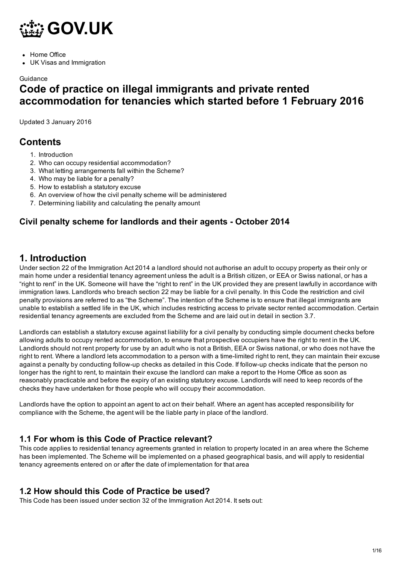

- Home Office
- UK Visas and Immigration

#### **Guidance**

# Code of practice on illegal immigrants and private rented accommodation for tenancies which started before 1 February 2016

Updated 3 January 2016

# **Contents**

- 1. Introduction
- 2. Who can occupy residential accommodation?
- 3. What letting arrangements fall within the Scheme?
- 4. Who may be liable for a penalty?
- 5. How to establish a statutory excuse
- 6. An overview of how the civil penalty scheme will be administered
- 7. Determining liability and calculating the penalty amount

### Civil penalty scheme for landlords and their agents - October 2014

# 1. Introduction

Under section 22 of the Immigration Act 2014 a landlord should not authorise an adult to occupy property as their only or main home under a residential tenancy agreement unless the adult is a British citizen, or EEA or Swiss national, or has a "right to rent" in the UK. Someone will have the "right to rent" in the UK provided they are present lawfully in accordance with immigration laws. Landlords who breach section 22 may be liable for a civil penalty. In this Code the restriction and civil penalty provisions are referred to as "the Scheme". The intention of the Scheme is to ensure that illegal immigrants are unable to establish a settled life in the UK, which includes restricting access to private sector rented accommodation. Certain residential tenancy agreements are excluded from the Scheme and are laid out in detail in section 3.7.

Landlords can establish a statutory excuse against liability for a civil penalty by conducting simple document checks before allowing adults to occupy rented accommodation, to ensure that prospective occupiers have the right to rent in the UK. Landlords should not rent property for use by an adult who is not a British, EEA or Swiss national, or who does not have the right to rent. Where a landlord lets accommodation to a person with a time-limited right to rent, they can maintain their excuse against a penalty by conducting follow-up checks as detailed in this Code. If follow-up checks indicate that the person no longer has the right to rent, to maintain their excuse the landlord can make a report to the Home Office as soon as reasonably practicable and before the expiry of an existing statutory excuse. Landlords will need to keep records of the checks they have undertaken for those people who will occupy their accommodation.

Landlords have the option to appoint an agent to act on their behalf. Where an agent has accepted responsibility for compliance with the Scheme, the agent will be the liable party in place of the landlord.

#### 1.1 For whom is this Code of Practice relevant?

This code applies to residential tenancy agreements granted in relation to property located in an area where the Scheme has been implemented. The Scheme will be implemented on a phased geographical basis, and will apply to residential tenancy agreements entered on or after the date of implementation for that area

#### 1.2 How should this Code of Practice be used?

This Code has been issued under section 32 of the Immigration Act 2014. It sets out: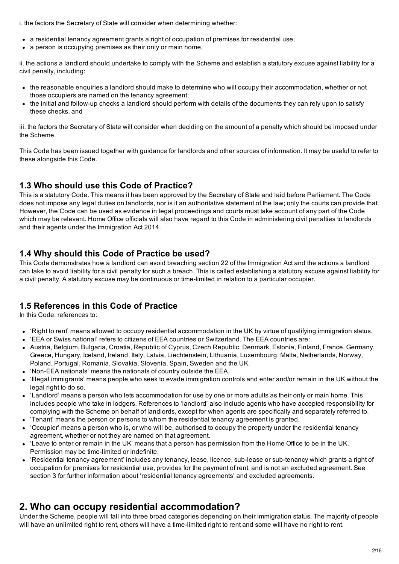i. the factors the Secretary of State will consider when determining whether:

- a residential tenancy agreement grants a right of occupation of premises for residential use;
- a person is occupying premises as their only or main home,

ii. the actions a landlord should undertake to comply with the Scheme and establish a statutory excuse against liability for a civil penalty, including:

- the reasonable enquiries a landlord should make to determine who will occupy their accommodation, whether or not those occupiers are named on the tenancy agreement;
- the initial and followup checks a landlord should perform with details of the documents they can rely upon to satisfy these checks, and

iii. the factors the Secretary of State will consider when deciding on the amount of a penalty which should be imposed under the Scheme.

This Code has been issued together with guidance for landlords and other sources of information. It may be useful to refer to these alongside this Code.

#### 1.3 Who should use this Code of Practice?

This is a statutory Code. This means it has been approved by the Secretary of State and laid before Parliament. The Code does not impose any legal duties on landlords, nor is it an authoritative statement of the law; only the courts can provide that. However, the Code can be used as evidence in legal proceedings and courts must take account of any part of the Code which may be relevant. Home Office officials will also have regard to this Code in administering civil penalties to landlords and their agents under the Immigration Act 2014.

#### 1.4 Why should this Code of Practice be used?

This Code demonstrates how a landlord can avoid breaching section 22 of the Immigration Act and the actions a landlord can take to avoid liability for a civil penalty for such a breach. This is called establishing a statutory excuse against liability for a civil penalty. A statutory excuse may be continuous or time-limited in relation to a particular occupier.

#### 1.5 References in this Code of Practice

In this Code, references to:

- 'Right to rent' means allowed to occupy residential accommodation in the UK by virtue of qualifying immigration status.
- 'EEA or Swiss national' refers to citizens of EEA countries or Switzerland. The EEA countries are:
- Austria, Belgium, Bulgaria, Croatia, Republic of Cyprus, Czech Republic, Denmark, Estonia, Finland, France, Germany, Greece, Hungary, Iceland, Ireland, Italy, Latvia, Liechtenstein, Lithuania, Luxembourg, Malta, Netherlands, Norway, Poland, Portugal, Romania, Slovakia, Slovenia, Spain, Sweden and the UK.
- 'NonEEA nationals' means the nationals of country outside the EEA.
- 'Illegal immigrants' means people who seek to evade immigration controls and enter and/or remain in the UK without the legal right to do so.
- 'Landlord' means a person who lets accommodation for use by one or more adults as their only or main home. This includes people who take in lodgers. References to 'landlord' also include agents who have accepted responsibility for complying with the Scheme on behalf of landlords, except for when agents are specifically and separately referred to.
- 'Tenant' means the person or persons to whom the residential tenancy agreement is granted.
- 'Occupier' means a person who is, or who will be, authorised to occupy the property under the residential tenancy agreement, whether or not they are named on that agreement.
- 'Leave to enter or remain in the UK' means that a person has permission from the Home Office to be in the UK. Permission may be time-limited or indefinite.
- 'Residential tenancy agreement' includes any tenancy, lease, licence, sub-lease or sub-tenancy which grants a right of occupation for premises for residential use, provides for the payment of rent, and is not an excluded agreement. See section 3 for further information about 'residential tenancy agreements' and excluded agreements.

# 2. Who can occupy residential accommodation?

Under the Scheme, people will fall into three broad categories depending on their immigration status. The majority of people will have an unlimited right to rent, others will have a time-limited right to rent and some will have no right to rent.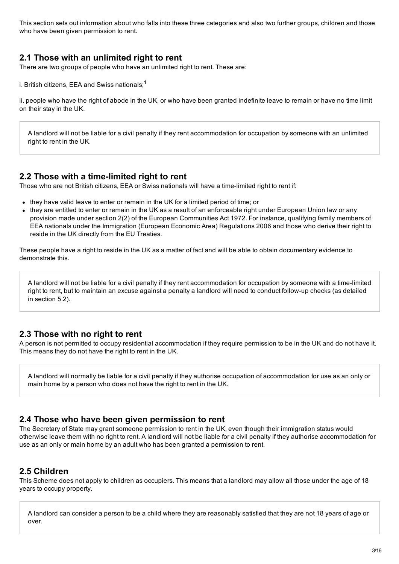This section sets out information about who falls into these three categories and also two further groups, children and those who have been given permission to rent.

#### 2.1 Those with an unlimited right to rent

There are two groups of people who have an unlimited right to rent. These are:

i. British citizens, EEA and Swiss nationals;<sup>1</sup>

ii. people who have the right of abode in the UK, or who have been granted indefinite leave to remain or have no time limit on their stay in the UK.

A landlord will not be liable for a civil penalty if they rent accommodation for occupation by someone with an unlimited right to rent in the UK.

#### 2.2 Those with a time-limited right to rent

Those who are not British citizens, EEA or Swiss nationals will have a time-limited right to rent if:

- they have valid leave to enter or remain in the UK for a limited period of time; or
- they are entitled to enter or remain in the UK as a result of an enforceable right under European Union law or any provision made under section 2(2) of the European Communities Act 1972. For instance, qualifying family members of EEA nationals under the Immigration (European Economic Area) Regulations 2006 and those who derive their right to reside in the UK directly from the EU Treaties.

These people have a right to reside in the UK as a matter of fact and will be able to obtain documentary evidence to demonstrate this.

A landlord will not be liable for a civil penalty if they rent accommodation for occupation by someone with a time-limited right to rent, but to maintain an excuse against a penalty a landlord will need to conduct follow-up checks (as detailed in section 5.2).

#### 2.3 Those with no right to rent

A person is not permitted to occupy residential accommodation if they require permission to be in the UK and do not have it. This means they do not have the right to rent in the UK.

A landlord will normally be liable for a civil penalty if they authorise occupation of accommodation for use as an only or main home by a person who does not have the right to rent in the UK.

#### 2.4 Those who have been given permission to rent

The Secretary of State may grant someone permission to rent in the UK, even though their immigration status would otherwise leave them with no right to rent. A landlord will not be liable for a civil penalty if they authorise accommodation for use as an only or main home by an adult who has been granted a permission to rent.

#### 2.5 Children

This Scheme does not apply to children as occupiers. This means that a landlord may allow all those under the age of 18 years to occupy property.

A landlord can consider a person to be a child where they are reasonably satisfied that they are not 18 years of age or over.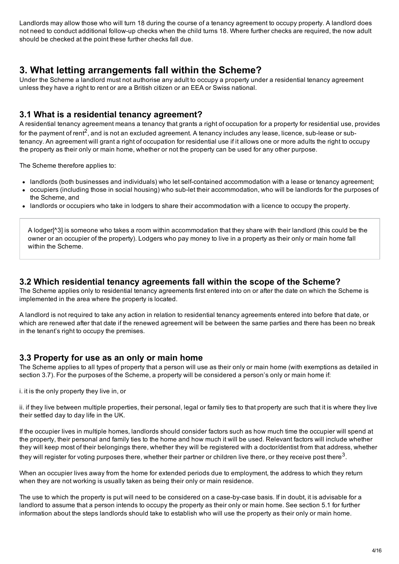Landlords may allow those who will turn 18 during the course of a tenancy agreement to occupy property. A landlord does not need to conduct additional follow-up checks when the child turns 18. Where further checks are required, the now adult should be checked at the point these further checks fall due.

# 3. What letting arrangements fall within the Scheme?

Under the Scheme a landlord must not authorise any adult to occupy a property under a residential tenancy agreement unless they have a right to rent or are a British citizen or an EEA or Swiss national.

### 3.1 What is a residential tenancy agreement?

A residential tenancy agreement means a tenancy that grants a right of occupation for a property for residential use, provides for the payment of rent<sup>2</sup>, and is not an excluded agreement. A tenancy includes any lease, licence, sub-lease or subtenancy. An agreement will grant a right of occupation for residential use if it allows one or more adults the right to occupy the property as their only or main home, whether or not the property can be used for any other purpose.

The Scheme therefore applies to:

- landlords (both businesses and individuals) who let self-contained accommodation with a lease or tenancy agreement;
- occupiers (including those in social housing) who sub-let their accommodation, who will be landlords for the purposes of the Scheme, and
- landlords or occupiers who take in lodgers to share their accommodation with a licence to occupy the property.

A lodger[^3] is someone who takes a room within accommodation that they share with their landlord (this could be the owner or an occupier of the property). Lodgers who pay money to live in a property as their only or main home fall within the Scheme.

#### 3.2 Which residential tenancy agreements fall within the scope of the Scheme?

The Scheme applies only to residential tenancy agreements first entered into on or after the date on which the Scheme is implemented in the area where the property is located.

A landlord is not required to take any action in relation to residential tenancy agreements entered into before that date, or which are renewed after that date if the renewed agreement will be between the same parties and there has been no break in the tenant's right to occupy the premises.

#### 3.3 Property for use as an only or main home

The Scheme applies to all types of property that a person will use as their only or main home (with exemptions as detailed in section 3.7). For the purposes of the Scheme, a property will be considered a person's only or main home if:

i. it is the only property they live in, or

ii. if they live between multiple properties, their personal, legal or family ties to that property are such that it is where they live their settled day to day life in the UK.

If the occupier lives in multiple homes, landlords should consider factors such as how much time the occupier will spend at the property, their personal and family ties to the home and how much it will be used. Relevant factors will include whether they will keep most of their belongings there, whether they will be registered with a doctor/dentist from that address, whether they will register for voting purposes there, whether their partner or children live there, or they receive post there $^3\!$ .

When an occupier lives away from the home for extended periods due to employment, the address to which they return when they are not working is usually taken as being their only or main residence.

The use to which the property is put will need to be considered on a case-by-case basis. If in doubt, it is advisable for a landlord to assume that a person intends to occupy the property as their only or main home. See section 5.1 for further information about the steps landlords should take to establish who will use the property as their only or main home.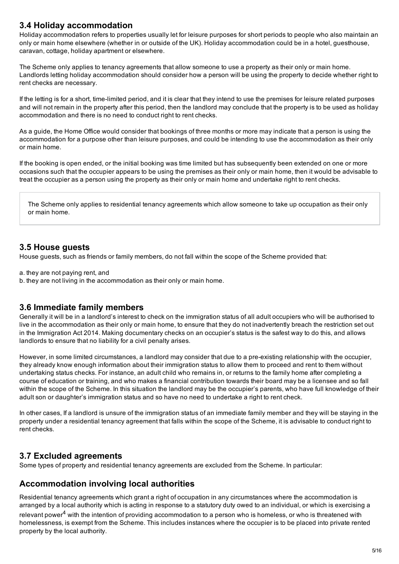### 3.4 Holiday accommodation

Holiday accommodation refers to properties usually let for leisure purposes for short periods to people who also maintain an only or main home elsewhere (whether in or outside of the UK). Holiday accommodation could be in a hotel, guesthouse, caravan, cottage, holiday apartment or elsewhere.

The Scheme only applies to tenancy agreements that allow someone to use a property as their only or main home. Landlords letting holiday accommodation should consider how a person will be using the property to decide whether right to rent checks are necessary.

If the letting is for a short, time-limited period, and it is clear that they intend to use the premises for leisure related purposes and will not remain in the property after this period, then the landlord may conclude that the property is to be used as holiday accommodation and there is no need to conduct right to rent checks.

As a guide, the Home Office would consider that bookings of three months or more may indicate that a person is using the accommodation for a purpose other than leisure purposes, and could be intending to use the accommodation as their only or main home.

If the booking is open ended, or the initial booking was time limited but has subsequently been extended on one or more occasions such that the occupier appears to be using the premises as their only or main home, then it would be advisable to treat the occupier as a person using the property as their only or main home and undertake right to rent checks.

The Scheme only applies to residential tenancy agreements which allow someone to take up occupation as their only or main home.

#### 3.5 House guests

House guests, such as friends or family members, do not fall within the scope of the Scheme provided that:

- a. they are not paying rent, and
- b. they are not living in the accommodation as their only or main home.

#### 3.6 Immediate family members

Generally it will be in a landlord's interest to check on the immigration status of all adult occupiers who will be authorised to live in the accommodation as their only or main home, to ensure that they do not inadvertently breach the restriction set out in the Immigration Act 2014. Making documentary checks on an occupier's status is the safest way to do this, and allows landlords to ensure that no liability for a civil penalty arises.

However, in some limited circumstances, a landlord may consider that due to a pre-existing relationship with the occupier, they already know enough information about their immigration status to allow them to proceed and rent to them without undertaking status checks. For instance, an adult child who remains in, or returns to the family home after completing a course of education or training, and who makes a financial contribution towards their board may be a licensee and so fall within the scope of the Scheme. In this situation the landlord may be the occupier's parents, who have full knowledge of their adult son or daughter's immigration status and so have no need to undertake a right to rent check.

In other cases, If a landlord is unsure of the immigration status of an immediate family member and they will be staying in the property under a residential tenancy agreement that falls within the scope of the Scheme, it is advisable to conduct right to rent checks.

#### 3.7 Excluded agreements

Some types of property and residential tenancy agreements are excluded from the Scheme. In particular:

#### Accommodation involving local authorities

Residential tenancy agreements which grant a right of occupation in any circumstances where the accommodation is arranged by a local authority which is acting in response to a statutory duty owed to an individual, or which is exercising a relevant power<sup>4</sup> with the intention of providing accommodation to a person who is homeless, or who is threatened with homelessness, is exempt from the Scheme. This includes instances where the occupier is to be placed into private rented property by the local authority.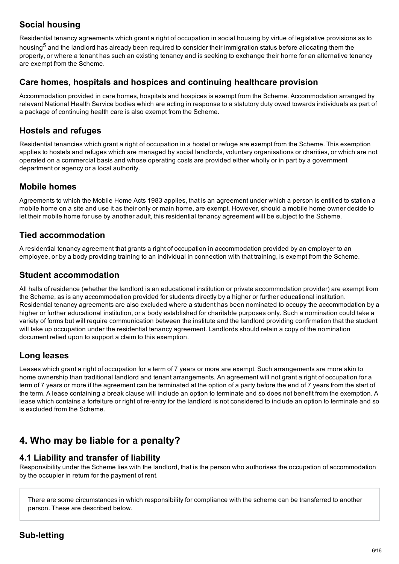# Social housing

Residential tenancy agreements which grant a right of occupation in social housing by virtue of legislative provisions as to housing<sup>5</sup> and the landlord has already been required to consider their immigration status before allocating them the property, or where a tenant has such an existing tenancy and is seeking to exchange their home for an alternative tenancy are exempt from the Scheme.

### Care homes, hospitals and hospices and continuing healthcare provision

Accommodation provided in care homes, hospitals and hospices is exempt from the Scheme. Accommodation arranged by relevant National Health Service bodies which are acting in response to a statutory duty owed towards individuals as part of a package of continuing health care is also exempt from the Scheme.

## Hostels and refuges

Residential tenancies which grant a right of occupation in a hostel or refuge are exempt from the Scheme. This exemption applies to hostels and refuges which are managed by social landlords, voluntary organisations or charities, or which are not operated on a commercial basis and whose operating costs are provided either wholly or in part by a government department or agency or a local authority.

### Mobile homes

Agreements to which the Mobile Home Acts 1983 applies, that is an agreement under which a person is entitled to station a mobile home on a site and use it as their only or main home, are exempt. However, should a mobile home owner decide to let their mobile home for use by another adult, this residential tenancy agreement will be subject to the Scheme.

# Tied accommodation

A residential tenancy agreement that grants a right of occupation in accommodation provided by an employer to an employee, or by a body providing training to an individual in connection with that training, is exempt from the Scheme.

# Student accommodation

All halls of residence (whether the landlord is an educational institution or private accommodation provider) are exempt from the Scheme, as is any accommodation provided for students directly by a higher or further educational institution. Residential tenancy agreements are also excluded where a student has been nominated to occupy the accommodation by a higher or further educational institution, or a body established for charitable purposes only. Such a nomination could take a variety of forms but will require communication between the institute and the landlord providing confirmation that the student will take up occupation under the residential tenancy agreement. Landlords should retain a copy of the nomination document relied upon to support a claim to this exemption.

# Long leases

Leases which grant a right of occupation for a term of 7 years or more are exempt. Such arrangements are more akin to home ownership than traditional landlord and tenant arrangements. An agreement will not grant a right of occupation for a term of 7 years or more if the agreement can be terminated at the option of a party before the end of 7 years from the start of the term. A lease containing a break clause will include an option to terminate and so does not benefit from the exemption. A lease which contains a forfeiture or right of re-entry for the landlord is not considered to include an option to terminate and so is excluded from the Scheme.

# 4. Who may be liable for a penalty?

#### 4.1 Liability and transfer of liability

Responsibility under the Scheme lies with the landlord, that is the person who authorises the occupation of accommodation by the occupier in return for the payment of rent.

There are some circumstances in which responsibility for compliance with the scheme can be transferred to another person. These are described below.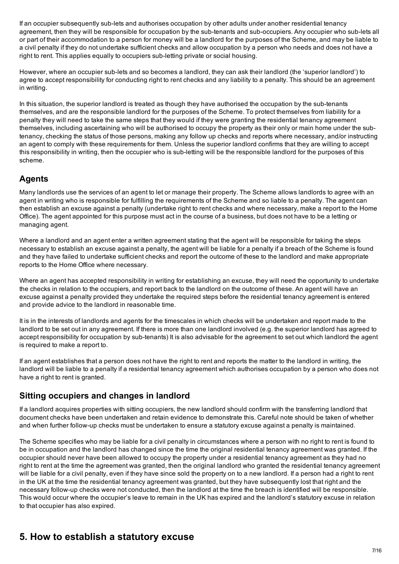If an occupier subsequently sub-lets and authorises occupation by other adults under another residential tenancy agreement, then they will be responsible for occupation by the sub-tenants and sub-occupiers. Any occupier who sub-lets all or part of their accommodation to a person for money will be a landlord for the purposes of the Scheme, and may be liable to a civil penalty if they do not undertake sufficient checks and allow occupation by a person who needs and does not have a right to rent. This applies equally to occupiers sub-letting private or social housing.

However, where an occupier sub-lets and so becomes a landlord, they can ask their landlord (the 'superior landlord') to agree to accept responsibility for conducting right to rent checks and any liability to a penalty. This should be an agreement in writing.

In this situation, the superior landlord is treated as though they have authorised the occupation by the sub-tenants themselves, and are the responsible landlord for the purposes of the Scheme. To protect themselves from liability for a penalty they will need to take the same steps that they would if they were granting the residential tenancy agreement themselves, including ascertaining who will be authorised to occupy the property as their only or main home under the subtenancy, checking the status of those persons, making any follow up checks and reports where necessary, and/or instructing an agent to comply with these requirements for them. Unless the superior landlord confirms that they are willing to accept this responsibility in writing, then the occupier who is sub-letting will be the responsible landlord for the purposes of this scheme.

# Agents

Many landlords use the services of an agent to let or manage their property. The Scheme allows landlords to agree with an agent in writing who is responsible for fulfilling the requirements of the Scheme and so liable to a penalty. The agent can then establish an excuse against a penalty (undertake right to rent checks and where necessary, make a report to the Home Office). The agent appointed for this purpose must act in the course of a business, but does not have to be a letting or managing agent.

Where a landlord and an agent enter a written agreement stating that the agent will be responsible for taking the steps necessary to establish an excuse against a penalty, the agent will be liable for a penalty if a breach of the Scheme is found and they have failed to undertake sufficient checks and report the outcome of these to the landlord and make appropriate reports to the Home Office where necessary.

Where an agent has accepted responsibility in writing for establishing an excuse, they will need the opportunity to undertake the checks in relation to the occupiers, and report back to the landlord on the outcome of these. An agent will have an excuse against a penalty provided they undertake the required steps before the residential tenancy agreement is entered and provide advice to the landlord in reasonable time.

It is in the interests of landlords and agents for the timescales in which checks will be undertaken and report made to the landlord to be set out in any agreement. If there is more than one landlord involved (e.g. the superior landlord has agreed to accept responsibility for occupation by sub-tenants) It is also advisable for the agreement to set out which landlord the agent is required to make a report to.

If an agent establishes that a person does not have the right to rent and reports the matter to the landlord in writing, the landlord will be liable to a penalty if a residential tenancy agreement which authorises occupation by a person who does not have a right to rent is granted.

# Sitting occupiers and changes in landlord

If a landlord acquires properties with sitting occupiers, the new landlord should confirm with the transferring landlord that document checks have been undertaken and retain evidence to demonstrate this. Careful note should be taken of whether and when further follow-up checks must be undertaken to ensure a statutory excuse against a penalty is maintained.

The Scheme specifies who may be liable for a civil penalty in circumstances where a person with no right to rent is found to be in occupation and the landlord has changed since the time the original residential tenancy agreement was granted. If the occupier should never have been allowed to occupy the property under a residential tenancy agreement as they had no right to rent at the time the agreement was granted, then the original landlord who granted the residential tenancy agreement will be liable for a civil penalty, even if they have since sold the property on to a new landlord. If a person had a right to rent in the UK at the time the residential tenancy agreement was granted, but they have subsequently lost that right and the necessary follow-up checks were not conducted, then the landlord at the time the breach is identified will be responsible. This would occur where the occupier's leave to remain in the UK has expired and the landlord's statutory excuse in relation to that occupier has also expired.

# 5. How to establish a statutory excuse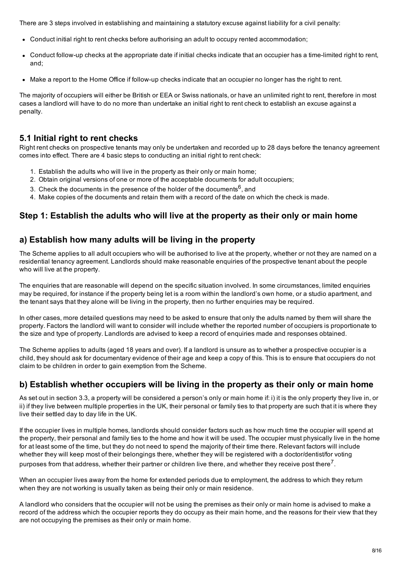There are 3 steps involved in establishing and maintaining a statutory excuse against liability for a civil penalty:

- Conduct initial right to rent checks before authorising an adult to occupy rented accommodation;
- Conduct follow-up checks at the appropriate date if initial checks indicate that an occupier has a time-limited right to rent, and;
- Make a report to the Home Office if follow-up checks indicate that an occupier no longer has the right to rent.

The majority of occupiers will either be British or EEA or Swiss nationals, or have an unlimited right to rent, therefore in most cases a landlord will have to do no more than undertake an initial right to rent check to establish an excuse against a penalty.

#### 5.1 Initial right to rent checks

Right rent checks on prospective tenants may only be undertaken and recorded up to 28 days before the tenancy agreement comes into effect. There are 4 basic steps to conducting an initial right to rent check:

- 1. Establish the adults who will live in the property as their only or main home;
- 2. Obtain original versions of one or more of the acceptable documents for adult occupiers;
- 3. Check the documents in the presence of the holder of the documents<sup>6</sup>, and
- 4. Make copies of the documents and retain them with a record of the date on which the check is made.

### Step 1: Establish the adults who will live at the property as their only or main home

#### a) Establish how many adults will be living in the property

The Scheme applies to all adult occupiers who will be authorised to live at the property, whether or not they are named on a residential tenancy agreement. Landlords should make reasonable enquiries of the prospective tenant about the people who will live at the property.

The enquiries that are reasonable will depend on the specific situation involved. In some circumstances, limited enquiries may be required, for instance if the property being let is a room within the landlord's own home, or a studio apartment, and the tenant says that they alone will be living in the property, then no further enquiries may be required.

In other cases, more detailed questions may need to be asked to ensure that only the adults named by them will share the property. Factors the landlord will want to consider will include whether the reported number of occupiers is proportionate to the size and type of property. Landlords are advised to keep a record of enquiries made and responses obtained.

The Scheme applies to adults (aged 18 years and over). If a landlord is unsure as to whether a prospective occupier is a child, they should ask for documentary evidence of their age and keep a copy of this. This is to ensure that occupiers do not claim to be children in order to gain exemption from the Scheme.

#### b) Establish whether occupiers will be living in the property as their only or main home

As set out in section 3.3, a property will be considered a person's only or main home if: i) it is the only property they live in, or ii) if they live between multiple properties in the UK, their personal or family ties to that property are such that it is where they live their settled day to day life in the UK.

If the occupier lives in multiple homes, landlords should consider factors such as how much time the occupier will spend at the property, their personal and family ties to the home and how it will be used. The occupier must physically live in the home for at least some of the time, but they do not need to spend the majority of their time there. Relevant factors will include whether they will keep most of their belongings there, whether they will be registered with a doctor/dentist/for voting purposes from that address, whether their partner or children live there, and whether they receive post there<sup>7</sup>.

When an occupier lives away from the home for extended periods due to employment, the address to which they return when they are not working is usually taken as being their only or main residence.

A landlord who considers that the occupier will not be using the premises as their only or main home is advised to make a record of the address which the occupier reports they do occupy as their main home, and the reasons for their view that they are not occupying the premises as their only or main home.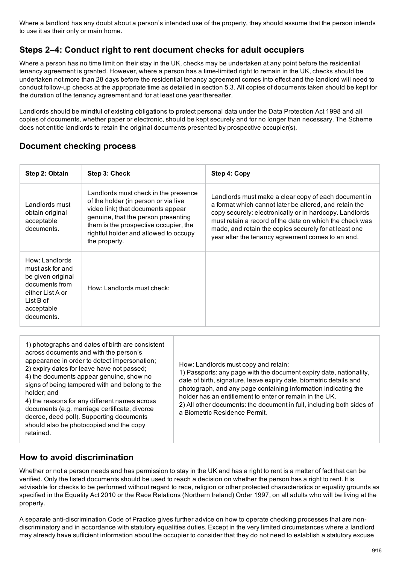Where a landlord has any doubt about a person's intended use of the property, they should assume that the person intends to use it as their only or main home.

# Steps 2–4: Conduct right to rent document checks for adult occupiers

Where a person has no time limit on their stay in the UK, checks may be undertaken at any point before the residential tenancy agreement is granted. However, where a person has a time-limited right to remain in the UK, checks should be undertaken not more than 28 days before the residential tenancy agreement comes into effect and the landlord will need to conduct follow-up checks at the appropriate time as detailed in section 5.3. All copies of documents taken should be kept for the duration of the tenancy agreement and for at least one year thereafter.

Landlords should be mindful of existing obligations to protect personal data under the Data Protection Act 1998 and all copies of documents, whether paper or electronic, should be kept securely and for no longer than necessary. The Scheme does not entitle landlords to retain the original documents presented by prospective occupier(s).

### Document checking process

| Step 2: Obtain                                                                                                                         | Step 3: Check                                                                                                                                                                                                                                               | Step 4: Copy                                                                                                                                                                                                                                                                                                                                       |
|----------------------------------------------------------------------------------------------------------------------------------------|-------------------------------------------------------------------------------------------------------------------------------------------------------------------------------------------------------------------------------------------------------------|----------------------------------------------------------------------------------------------------------------------------------------------------------------------------------------------------------------------------------------------------------------------------------------------------------------------------------------------------|
| Landlords must<br>obtain original<br>acceptable<br>documents.                                                                          | Landlords must check in the presence<br>of the holder (in person or via live<br>video link) that documents appear<br>genuine, that the person presenting<br>them is the prospective occupier, the<br>rightful holder and allowed to occupy<br>the property. | Landlords must make a clear copy of each document in<br>a format which cannot later be altered, and retain the<br>copy securely: electronically or in hardcopy. Landlords<br>must retain a record of the date on which the check was<br>made, and retain the copies securely for at least one<br>year after the tenancy agreement comes to an end. |
| How: Landlords<br>must ask for and<br>be given original<br>documents from<br>either List A or<br>List B of<br>acceptable<br>documents. | How: Landlords must check:                                                                                                                                                                                                                                  |                                                                                                                                                                                                                                                                                                                                                    |

# How to avoid discrimination

Whether or not a person needs and has permission to stay in the UK and has a right to rent is a matter of fact that can be verified. Only the listed documents should be used to reach a decision on whether the person has a right to rent. It is advisable for checks to be performed without regard to race, religion or other protected characteristics or equality grounds as specified in the Equality Act 2010 or the Race Relations (Northern Ireland) Order 1997, on all adults who will be living at the property.

A separate anti-discrimination Code of Practice gives further advice on how to operate checking processes that are nondiscriminatory and in accordance with statutory equalities duties. Except in the very limited circumstances where a landlord may already have sufficient information about the occupier to consider that they do not need to establish a statutory excuse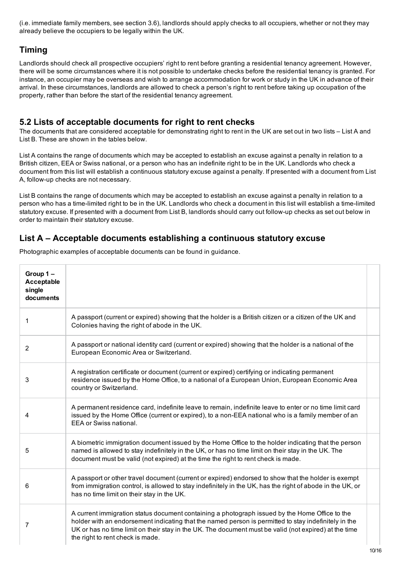(i.e. immediate family members, see section 3.6), landlords should apply checks to all occupiers, whether or not they may already believe the occupiers to be legally within the UK.

# Timing

Landlords should check all prospective occupiers' right to rent before granting a residential tenancy agreement. However, there will be some circumstances where it is not possible to undertake checks before the residential tenancy is granted. For instance, an occupier may be overseas and wish to arrange accommodation for work or study in the UK in advance of their arrival. In these circumstances, landlords are allowed to check a person's right to rent before taking up occupation of the property, rather than before the start of the residential tenancy agreement.

### 5.2 Lists of acceptable documents for right to rent checks

The documents that are considered acceptable for demonstrating right to rent in the UK are set out in two lists – List A and List B. These are shown in the tables below.

List A contains the range of documents which may be accepted to establish an excuse against a penalty in relation to a British citizen, EEA or Swiss national, or a person who has an indefinite right to be in the UK. Landlords who check a document from this list will establish a continuous statutory excuse against a penalty. If presented with a document from List A, follow-up checks are not necessary.

List B contains the range of documents which may be accepted to establish an excuse against a penalty in relation to a person who has a time-limited right to be in the UK. Landlords who check a document in this list will establish a time-limited statutory excuse. If presented with a document from List B, landlords should carry out follow-up checks as set out below in order to maintain their statutory excuse.

#### List A – Acceptable documents establishing a continuous statutory excuse

Group 1 – Acceptable single documents 1 A passport (current or expired) showing that the holder is a British citizen or a citizen of the UK and Colonies having the right of abode in the UK. 2 A passport or national identity card (current or expired) showing that the holder is a national of the European Economic Area or Switzerland. 3 A registration certificate or document (current or expired) certifying or indicating permanent residence issued by the Home Office, to a national of a European Union, European Economic Area country or Switzerland. 4 A permanent residence card, indefinite leave to remain, indefinite leave to enter or no time limit card issued by the Home Office (current or expired), to a non-EEA national who is a family member of an EEA or Swiss national. 5 A biometric immigration document issued by the Home Office to the holder indicating that the person named is allowed to stay indefinitely in the UK, or has no time limit on their stay in the UK. The document must be valid (not expired) at the time the right to rent check is made. 6 A passport or other travel document (current or expired) endorsed to show that the holder is exempt from immigration control, is allowed to stay indefinitely in the UK, has the right of abode in the UK, or has no time limit on their stay in the UK. 7 A current immigration status document containing a photograph issued by the Home Office to the holder with an endorsement indicating that the named person is permitted to stay indefinitely in the UK or has no time limit on their stay in the UK. The document must be valid (not expired) at the time the right to rent check is made.

Photographic examples of acceptable documents can be found in guidance.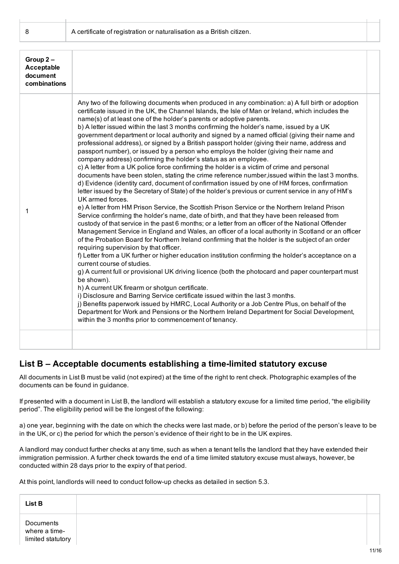8 **A certificate of registration or naturalisation as a British citizen.** 

| Group $2 -$<br><b>Acceptable</b><br>document<br>combinations |                                                                                                                                                                                                                                                                                                                                                                                                                                                                                                                                                                                                                                                                                                                                                                                                                                                                                                                                                                                                                                                                                                                                                                                                                                                                                                                                                                                                                                                                                                                                                                                                                                                                                                                                                                                                                                                                                                                                                                                                                                                                                                                                                                                                                                                                                                                                                                                         |
|--------------------------------------------------------------|-----------------------------------------------------------------------------------------------------------------------------------------------------------------------------------------------------------------------------------------------------------------------------------------------------------------------------------------------------------------------------------------------------------------------------------------------------------------------------------------------------------------------------------------------------------------------------------------------------------------------------------------------------------------------------------------------------------------------------------------------------------------------------------------------------------------------------------------------------------------------------------------------------------------------------------------------------------------------------------------------------------------------------------------------------------------------------------------------------------------------------------------------------------------------------------------------------------------------------------------------------------------------------------------------------------------------------------------------------------------------------------------------------------------------------------------------------------------------------------------------------------------------------------------------------------------------------------------------------------------------------------------------------------------------------------------------------------------------------------------------------------------------------------------------------------------------------------------------------------------------------------------------------------------------------------------------------------------------------------------------------------------------------------------------------------------------------------------------------------------------------------------------------------------------------------------------------------------------------------------------------------------------------------------------------------------------------------------------------------------------------------------|
| 1                                                            | Any two of the following documents when produced in any combination: a) A full birth or adoption<br>certificate issued in the UK, the Channel Islands, the Isle of Man or Ireland, which includes the<br>name(s) of at least one of the holder's parents or adoptive parents.<br>b) A letter issued within the last 3 months confirming the holder's name, issued by a UK<br>government department or local authority and signed by a named official (giving their name and<br>professional address), or signed by a British passport holder (giving their name, address and<br>passport number), or issued by a person who employs the holder (giving their name and<br>company address) confirming the holder's status as an employee.<br>c) A letter from a UK police force confirming the holder is a victim of crime and personal<br>documents have been stolen, stating the crime reference number, issued within the last 3 months.<br>d) Evidence (identity card, document of confirmation issued by one of HM forces, confirmation<br>letter issued by the Secretary of State) of the holder's previous or current service in any of HM's<br>UK armed forces.<br>e) A letter from HM Prison Service, the Scottish Prison Service or the Northern Ireland Prison<br>Service confirming the holder's name, date of birth, and that they have been released from<br>custody of that service in the past 6 months; or a letter from an officer of the National Offender<br>Management Service in England and Wales, an officer of a local authority in Scotland or an officer<br>of the Probation Board for Northern Ireland confirming that the holder is the subject of an order<br>requiring supervision by that officer.<br>f) Letter from a UK further or higher education institution confirming the holder's acceptance on a<br>current course of studies.<br>g) A current full or provisional UK driving licence (both the photocard and paper counterpart must<br>be shown).<br>h) A current UK firearm or shotgun certificate.<br>i) Disclosure and Barring Service certificate issued within the last 3 months.<br>j) Benefits paperwork issued by HMRC, Local Authority or a Job Centre Plus, on behalf of the<br>Department for Work and Pensions or the Northern Ireland Department for Social Development,<br>within the 3 months prior to commencement of tenancy. |
|                                                              |                                                                                                                                                                                                                                                                                                                                                                                                                                                                                                                                                                                                                                                                                                                                                                                                                                                                                                                                                                                                                                                                                                                                                                                                                                                                                                                                                                                                                                                                                                                                                                                                                                                                                                                                                                                                                                                                                                                                                                                                                                                                                                                                                                                                                                                                                                                                                                                         |

#### List B – Acceptable documents establishing a time-limited statutory excuse

All documents in List B must be valid (not expired) at the time of the right to rent check. Photographic examples of the documents can be found in guidance.

If presented with a document in List B, the landlord will establish a statutory excuse for a limited time period, "the eligibility period". The eligibility period will be the longest of the following:

a) one year, beginning with the date on which the checks were last made, or b) before the period of the person's leave to be in the UK, or c) the period for which the person's evidence of their right to be in the UK expires.

A landlord may conduct further checks at any time, such as when a tenant tells the landlord that they have extended their immigration permission. A further check towards the end of a time limited statutory excuse must always, however, be conducted within 28 days prior to the expiry of that period.

At this point, landlords will need to conduct follow-up checks as detailed in section 5.3.

| List B                                          |
|-------------------------------------------------|
| Documents<br>where a time-<br>limited statutory |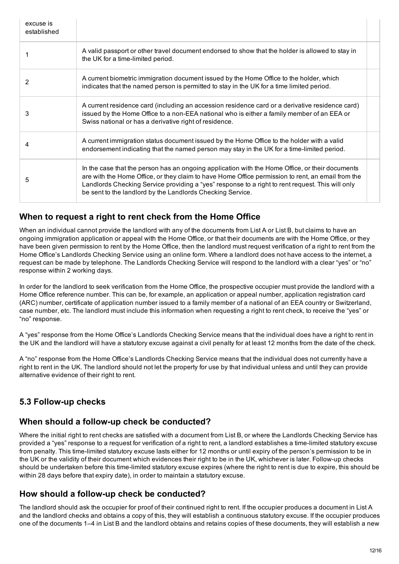| excuse is<br>established |                                                                                                                                                                                                                                                                                                                                                                        |
|--------------------------|------------------------------------------------------------------------------------------------------------------------------------------------------------------------------------------------------------------------------------------------------------------------------------------------------------------------------------------------------------------------|
|                          | A valid passport or other travel document endorsed to show that the holder is allowed to stay in<br>the UK for a time-limited period.                                                                                                                                                                                                                                  |
| 2                        | A current biometric immigration document issued by the Home Office to the holder, which<br>indicates that the named person is permitted to stay in the UK for a time limited period.                                                                                                                                                                                   |
| 3                        | A current residence card (including an accession residence card or a derivative residence card)<br>issued by the Home Office to a non-EEA national who is either a family member of an EEA or<br>Swiss national or has a derivative right of residence.                                                                                                                |
| 4                        | A current immigration status document issued by the Home Office to the holder with a valid<br>endorsement indicating that the named person may stay in the UK for a time-limited period.                                                                                                                                                                               |
| 5                        | In the case that the person has an ongoing application with the Home Office, or their documents<br>are with the Home Office, or they claim to have Home Office permission to rent, an email from the<br>Landlords Checking Service providing a "yes" response to a right to rent request. This will only<br>be sent to the landlord by the Landlords Checking Service. |

#### When to request a right to rent check from the Home Office

When an individual cannot provide the landlord with any of the documents from List A or List B, but claims to have an ongoing immigration application or appeal with the Home Office, or that their documents are with the Home Office, or they have been given permission to rent by the Home Office, then the landlord must request verification of a right to rent from the Home Office's Landlords Checking Service using an online form. Where a landlord does not have access to the internet, a request can be made by telephone. The Landlords Checking Service will respond to the landlord with a clear "yes" or "no" response within 2 working days.

In order for the landlord to seek verification from the Home Office, the prospective occupier must provide the landlord with a Home Office reference number. This can be, for example, an application or appeal number, application registration card (ARC) number, certificate of application number issued to a family member of a national of an EEA country or Switzerland, case number, etc. The landlord must include this information when requesting a right to rent check, to receive the "yes" or "no" response.

A "yes" response from the Home Office's Landlords Checking Service means that the individual does have a right to rent in the UK and the landlord will have a statutory excuse against a civil penalty for at least 12 months from the date of the check.

A "no" response from the Home Office's Landlords Checking Service means that the individual does not currently have a right to rent in the UK. The landlord should not let the property for use by that individual unless and until they can provide alternative evidence of their right to rent.

# 5.3 Follow-up checks

#### When should a follow-up check be conducted?

Where the initial right to rent checks are satisfied with a document from List B, or where the Landlords Checking Service has provided a "yes" response to a request for verification of a right to rent, a landlord establishes a time-limited statutory excuse from penalty. This time-limited statutory excuse lasts either for 12 months or until expiry of the person's permission to be in the UK or the validity of their document which evidences their right to be in the UK, whichever is later. Follow-up checks should be undertaken before this time-limited statutory excuse expires (where the right to rent is due to expire, this should be within 28 days before that expiry date), in order to maintain a statutory excuse.

#### How should a follow-up check be conducted?

The landlord should ask the occupier for proof of their continued right to rent. If the occupier produces a document in List A and the landlord checks and obtains a copy of this, they will establish a continuous statutory excuse. If the occupier produces one of the documents 1–4 in List B and the landlord obtains and retains copies of these documents, they will establish a new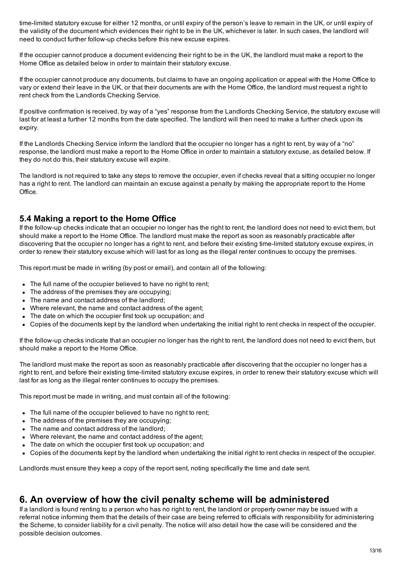time-limited statutory excuse for either 12 months, or until expiry of the person's leave to remain in the UK, or until expiry of the validity of the document which evidences their right to be in the UK, whichever is later. In such cases, the landlord will need to conduct further follow-up checks before this new excuse expires.

If the occupier cannot produce a document evidencing their right to be in the UK, the landlord must make a report to the Home Office as detailed below in order to maintain their statutory excuse.

If the occupier cannot produce any documents, but claims to have an ongoing application or appeal with the Home Office to vary or extend their leave in the UK, or that their documents are with the Home Office, the landlord must request a right to rent check from the Landlords Checking Service.

If positive confirmation is received, by way of a "yes" response from the Landlords Checking Service, the statutory excuse will last for at least a further 12 months from the date specified. The landlord will then need to make a further check upon its expiry.

If the Landlords Checking Service inform the landlord that the occupier no longer has a right to rent, by way of a "no" response, the landlord must make a report to the Home Office in order to maintain a statutory excuse, as detailed below. If they do not do this, their statutory excuse will expire.

The landlord is not required to take any steps to remove the occupier, even if checks reveal that a sitting occupier no longer has a right to rent. The landlord can maintain an excuse against a penalty by making the appropriate report to the Home Office.

#### 5.4 Making a report to the Home Office

If the follow-up checks indicate that an occupier no longer has the right to rent, the landlord does not need to evict them, but should make a report to the Home Office. The landlord must make the report as soon as reasonably practicable after discovering that the occupier no longer has a right to rent, and before their existing timelimited statutory excuse expires, in order to renew their statutory excuse which will last for as long as the illegal renter continues to occupy the premises.

This report must be made in writing (by post or email), and contain all of the following:

- The full name of the occupier believed to have no right to rent;
- The address of the premises they are occupying;
- The name and contact address of the landlord;
- Where relevant, the name and contact address of the agent;
- The date on which the occupier first took up occupation; and
- Copies of the documents kept by the landlord when undertaking the initial right to rent checks in respect of the occupier.

If the follow-up checks indicate that an occupier no longer has the right to rent, the landlord does not need to evict them, but should make a report to the Home Office.

The landlord must make the report as soon as reasonably practicable after discovering that the occupier no longer has a right to rent, and before their existing time-limited statutory excuse expires, in order to renew their statutory excuse which will last for as long as the illegal renter continues to occupy the premises.

This report must be made in writing, and must contain all of the following:

- The full name of the occupier believed to have no right to rent;
- The address of the premises they are occupying;
- The name and contact address of the landlord:
- Where relevant, the name and contact address of the agent;
- The date on which the occupier first took up occupation; and
- Copies of the documents kept by the landlord when undertaking the initial right to rent checks in respect of the occupier.

Landlords must ensure they keep a copy of the report sent, noting specifically the time and date sent.

# 6. An overview of how the civil penalty scheme will be administered

If a landlord is found renting to a person who has no right to rent, the landlord or property owner may be issued with a referral notice informing them that the details of their case are being referred to officials with responsibility for administering the Scheme, to consider liability for a civil penalty. The notice will also detail how the case will be considered and the possible decision outcomes.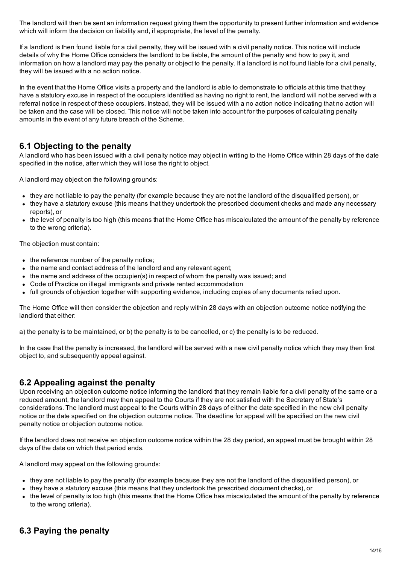The landlord will then be sent an information request giving them the opportunity to present further information and evidence which will inform the decision on liability and, if appropriate, the level of the penalty.

If a landlord is then found liable for a civil penalty, they will be issued with a civil penalty notice. This notice will include details of why the Home Office considers the landlord to be liable, the amount of the penalty and how to pay it, and information on how a landlord may pay the penalty or object to the penalty. If a landlord is not found liable for a civil penalty, they will be issued with a no action notice.

In the event that the Home Office visits a property and the landlord is able to demonstrate to officials at this time that they have a statutory excuse in respect of the occupiers identified as having no right to rent, the landlord will not be served with a referral notice in respect of these occupiers. Instead, they will be issued with a no action notice indicating that no action will be taken and the case will be closed. This notice will not be taken into account for the purposes of calculating penalty amounts in the event of any future breach of the Scheme.

### 6.1 Objecting to the penalty

A landlord who has been issued with a civil penalty notice may object in writing to the Home Office within 28 days of the date specified in the notice, after which they will lose the right to object.

A landlord may object on the following grounds:

- they are not liable to pay the penalty (for example because they are not the landlord of the disqualified person), or
- they have a statutory excuse (this means that they undertook the prescribed document checks and made any necessary reports), or
- the level of penalty is too high (this means that the Home Office has miscalculated the amount of the penalty by reference to the wrong criteria).

The objection must contain:

- the reference number of the penalty notice;
- the name and contact address of the landlord and any relevant agent;
- the name and address of the occupier(s) in respect of whom the penalty was issued; and
- Code of Practice on illegal immigrants and private rented accommodation
- full grounds of objection together with supporting evidence, including copies of any documents relied upon.

The Home Office will then consider the objection and reply within 28 days with an objection outcome notice notifying the landlord that either:

a) the penalty is to be maintained, or b) the penalty is to be cancelled, or c) the penalty is to be reduced.

In the case that the penalty is increased, the landlord will be served with a new civil penalty notice which they may then first object to, and subsequently appeal against.

#### 6.2 Appealing against the penalty

Upon receiving an objection outcome notice informing the landlord that they remain liable for a civil penalty of the same or a reduced amount, the landlord may then appeal to the Courts if they are not satisfied with the Secretary of State's considerations. The landlord must appeal to the Courts within 28 days of either the date specified in the new civil penalty notice or the date specified on the objection outcome notice. The deadline for appeal will be specified on the new civil penalty notice or objection outcome notice.

If the landlord does not receive an objection outcome notice within the 28 day period, an appeal must be brought within 28 days of the date on which that period ends.

A landlord may appeal on the following grounds:

- they are not liable to pay the penalty (for example because they are not the landlord of the disqualified person), or
- they have a statutory excuse (this means that they undertook the prescribed document checks), or
- the level of penalty is too high (this means that the Home Office has miscalculated the amount of the penalty by reference to the wrong criteria).

# 6.3 Paying the penalty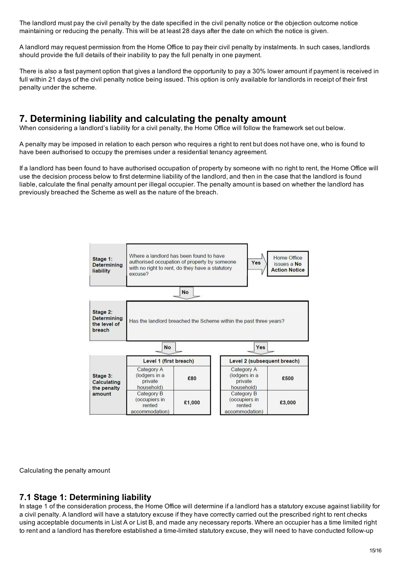The landlord must pay the civil penalty by the date specified in the civil penalty notice or the objection outcome notice maintaining or reducing the penalty. This will be at least 28 days after the date on which the notice is given.

A landlord may request permission from the Home Office to pay their civil penalty by instalments. In such cases, landlords should provide the full details of their inability to pay the full penalty in one payment.

There is also a fast payment option that gives a landlord the opportunity to pay a 30% lower amount if payment is received in full within 21 days of the civil penalty notice being issued. This option is only available for landlords in receipt of their first penalty under the scheme.

# 7. Determining liability and calculating the penalty amount

When considering a landlord's liability for a civil penalty, the Home Office will follow the framework set out below.

A penalty may be imposed in relation to each person who requires a right to rent but does not have one, who is found to have been authorised to occupy the premises under a residential tenancy agreement.

If a landlord has been found to have authorised occupation of property by someone with no right to rent, the Home Office will use the decision process below to first determine liability of the landlord, and then in the case that the landlord is found liable, calculate the final penalty amount per illegal occupier. The penalty amount is based on whether the landlord has previously breached the Scheme as well as the nature of the breach.



Calculating the penalty amount

#### 7.1 Stage 1: Determining liability

In stage 1 of the consideration process, the Home Office will determine if a landlord has a statutory excuse against liability for a civil penalty. A landlord will have a statutory excuse if they have correctly carried out the prescribed right to rent checks using acceptable documents in List A or List B, and made any necessary reports. Where an occupier has a time limited right to rent and a landlord has therefore established a time-limited statutory excuse, they will need to have conducted follow-up